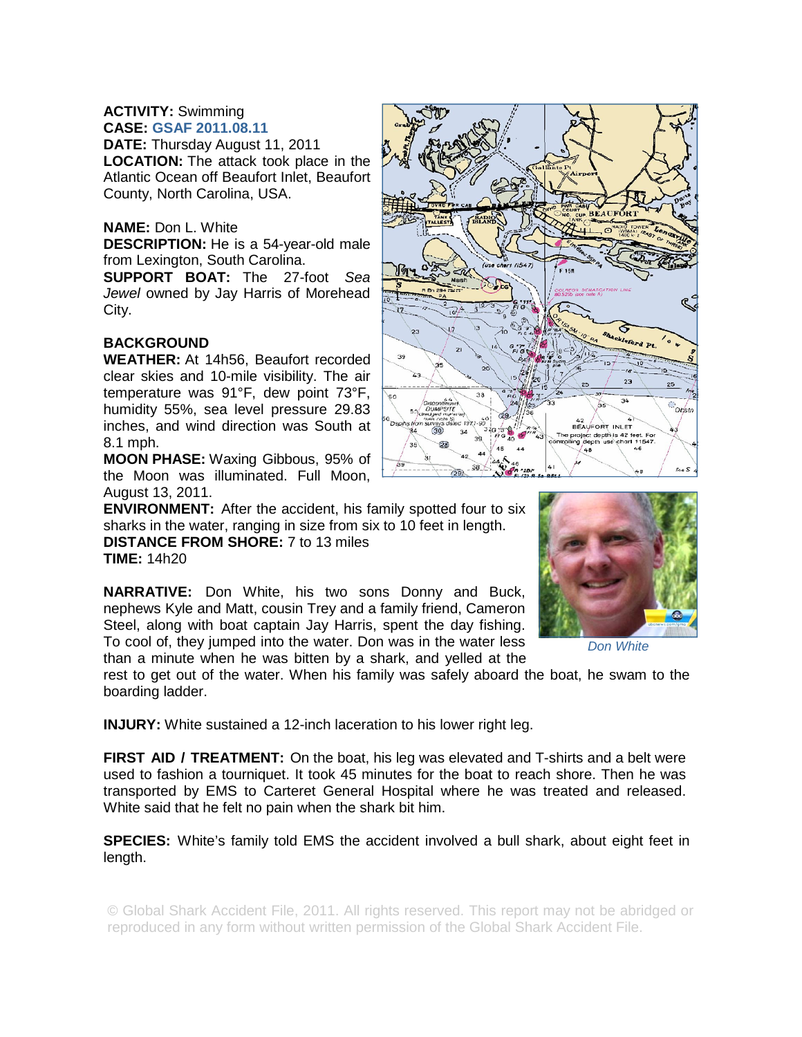## **ACTIVITY:** Swimming **CASE: GSAF 2011.08.11**

**DATE:** Thursday August 11, 2011 **LOCATION:** The attack took place in the Atlantic Ocean off Beaufort Inlet, Beaufort County, North Carolina, USA.

## **NAME:** Don L. White

**DESCRIPTION:** He is a 54-year-old male from Lexington, South Carolina.

**SUPPORT BOAT:** The 27-foot *Sea Jewel* owned by Jay Harris of Morehead City.

## **BACKGROUND**

**WEATHER:** At 14h56, Beaufort recorded clear skies and 10-mile visibility. The air temperature was 91°F, dew point 73°F, humidity 55%, sea level pressure 29.83 inches, and wind direction was South at 8.1 mph.

**MOON PHASE:** Waxing Gibbous, 95% of the Moon was illuminated. Full Moon, August 13, 2011.

**ENVIRONMENT:** After the accident, his family spotted four to six sharks in the water, ranging in size from six to 10 feet in length. **DISTANCE FROM SHORE:** 7 to 13 miles

**TIME:** 14h20

**NARRATIVE:** Don White, his two sons Donny and Buck, nephews Kyle and Matt, cousin Trey and a family friend, Cameron Steel, along with boat captain Jay Harris, spent the day fishing. To cool of, they jumped into the water. Don was in the water less than a minute when he was bitten by a shark, and yelled at the

rest to get out of the water. When his family was safely aboard the boat, he swam to the boarding ladder.

**INJURY:** White sustained a 12-inch laceration to his lower right leg.

**FIRST AID / TREATMENT:** On the boat, his leg was elevated and T-shirts and a belt were used to fashion a tourniquet. It took 45 minutes for the boat to reach shore. Then he was transported by EMS to Carteret General Hospital where he was treated and released. White said that he felt no pain when the shark bit him.

**SPECIES:** White's family told EMS the accident involved a bull shark, about eight feet in length.

© Global Shark Accident File, 2011. All rights reserved. This report may not be abridged or reproduced in any form without written permission of the Global Shark Accident File.





*Don White*